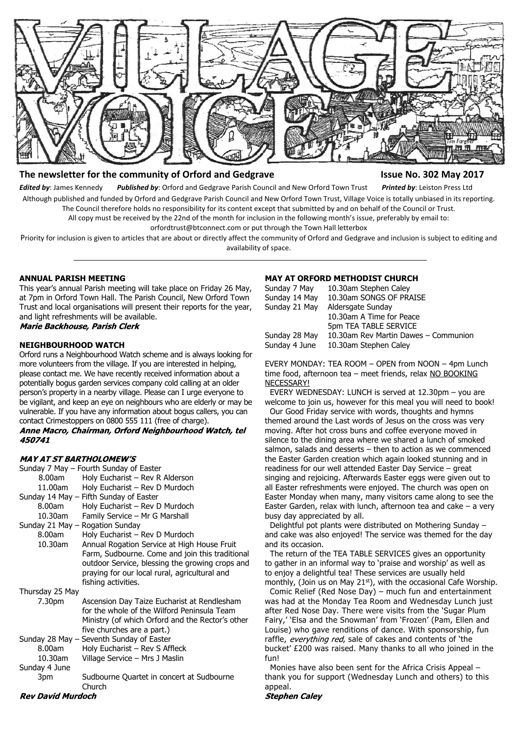

# **The newsletter for the community of Orford and Gedgrave Issue No. 302 May 2017**

*Edited by*: James Kennedy *Published by*: Orford and Gedgrave Parish Council and New Orford Town Trust *Printed by*: Leiston Press Ltd Although published and funded by Orford and Gedgrave Parish Council and New Orford Town Trust, Village Voice is totally unbiased in its reporting. The Council therefore holds no responsibility for its content except that submitted by and on behalf of the Council or Trust.

All copy must be received by the 22nd of the month for inclusion in the following month's issue, preferably by email to:

orfordtrust@btconnect.com or put through the Town Hall letterbox

Priority for inclusion is given to articles that are about or directly affect the community of Orford and Gedgrave and inclusion is subject to editing and availability of space.

#### **ANNUAL PARISH MEETING**

This year's annual Parish meeting will take place on Friday 26 May, at 7pm in Orford Town Hall. The Parish Council, New Orford Town Trust and local organisations will present their reports for the year, and light refreshments will be available. **Marie Backhouse, Parish Clerk** 

#### **NEIGHBOURHOOD WATCH**

Orford runs a Neighbourhood Watch scheme and is always looking for more volunteers from the village. If you are interested in helping, please contact me. We have recently received information about a potentially bogus garden services company cold calling at an older person's property in a nearby village. Please can I urge everyone to be vigilant, and keep an eye on neighbours who are elderly or may be vulnerable. If you have any information about bogus callers, you can contact Crimestoppers on 0800 555 111 (free of charge). Anne Macro, Chairman, Orford Neighbourhood Watch, tel 450741

#### **MAY AT ST BARTHOLOMEW'S**

| Sunday 7 May – Fourth Sunday of Easter |                   |                                                                                                                                                                                                                           |
|----------------------------------------|-------------------|---------------------------------------------------------------------------------------------------------------------------------------------------------------------------------------------------------------------------|
|                                        | 8.00am            | Holy Eucharist - Rev R Alderson                                                                                                                                                                                           |
|                                        | 11.00am           | Holy Eucharist - Rev D Murdoch                                                                                                                                                                                            |
|                                        |                   | Sunday 14 May - Fifth Sunday of Easter                                                                                                                                                                                    |
|                                        | 8.00am            | Holy Eucharist - Rev D Murdoch                                                                                                                                                                                            |
|                                        | 10.30am           | Family Service - Mr G Marshall                                                                                                                                                                                            |
|                                        |                   | Sunday 21 May – Rogation Sunday                                                                                                                                                                                           |
|                                        | 8.00am            | Holy Eucharist - Rev D Murdoch                                                                                                                                                                                            |
|                                        | 10.30am           | Annual Rogation Service at High House Fruit<br>Farm, Sudbourne. Come and join this traditional<br>outdoor Service, blessing the growing crops and<br>praying for our local rural, agricultural and<br>fishing activities. |
|                                        | Thursday 25 May   |                                                                                                                                                                                                                           |
|                                        | 7.30pm            | Ascension Day Taize Eucharist at Rendlesham<br>for the whole of the Wilford Peninsula Team<br>Ministry (of which Orford and the Rector's other<br>five churches are a part.)                                              |
|                                        |                   | Sunday 28 May – Seventh Sunday of Easter                                                                                                                                                                                  |
|                                        | 8.00am            | Holy Eucharist - Rev S Affleck                                                                                                                                                                                            |
|                                        | 10.30am           | Village Service - Mrs J Maslin                                                                                                                                                                                            |
|                                        | Sunday 4 June     |                                                                                                                                                                                                                           |
|                                        | 3pm               | Sudbourne Quartet in concert at Sudbourne<br>Church                                                                                                                                                                       |
|                                        | Rev David Murdoch |                                                                                                                                                                                                                           |

#### **MAY AT ORFORD METHODIST CHURCH**

| 10.30am Stephen Caley                |
|--------------------------------------|
| 10.30am SONGS OF PRAISE              |
| Aldersgate Sunday                    |
| 10.30am A Time for Peace             |
| 5pm TEA TABLE SERVICE                |
| 10.30am Rev Martin Dawes - Communion |
| 10.30am Stephen Caley                |
|                                      |

EVERY MONDAY: TEA ROOM – OPEN from NOON – 4pm Lunch time food, afternoon tea - meet friends, relax NO BOOKING NECESSARY!

 EVERY WEDNESDAY: LUNCH is served at 12.30pm – you are welcome to join us, however for this meal you will need to book!

 Our Good Friday service with words, thoughts and hymns themed around the Last words of Jesus on the cross was very moving. After hot cross buns and coffee everyone moved in silence to the dining area where we shared a lunch of smoked salmon, salads and desserts – then to action as we commenced the Easter Garden creation which again looked stunning and in readiness for our well attended Easter Day Service – great singing and rejoicing. Afterwards Easter eggs were given out to all Easter refreshments were enjoyed. The church was open on Easter Monday when many, many visitors came along to see the Easter Garden, relax with lunch, afternoon tea and cake – a very busy day appreciated by all.

 Delightful pot plants were distributed on Mothering Sunday – and cake was also enjoyed! The service was themed for the day and its occasion.

 The return of the TEA TABLE SERVICES gives an opportunity to gather in an informal way to 'praise and worship' as well as to enjoy a delightful tea! These services are usually held monthly, (Join us on May 21<sup>st</sup>), with the occasional Cafe Worship.

 Comic Relief (Red Nose Day) – much fun and entertainment was had at the Monday Tea Room and Wednesday Lunch just after Red Nose Day. There were visits from the 'Sugar Plum Fairy,' 'Elsa and the Snowman' from 'Frozen' (Pam, Ellen and Louise) who gave renditions of dance. With sponsorship, fun raffle, everything red, sale of cakes and contents of 'the bucket' £200 was raised. Many thanks to all who joined in the fun!

 Monies have also been sent for the Africa Crisis Appeal – thank you for support (Wednesday Lunch and others) to this appeal.

**Stephen Caley**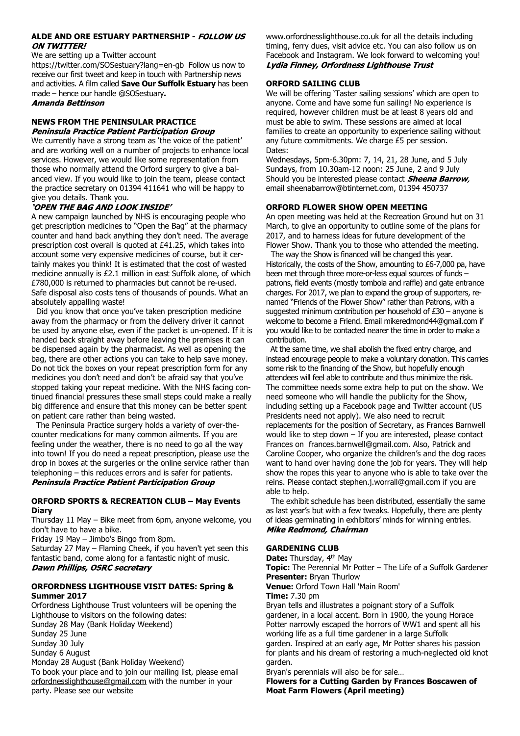#### **ALDE AND ORE ESTUARY PARTNERSHIP - FOLLOW US ON TWITTER!**

We are setting up a Twitter account

https://twitter.com/SOSestuary?lang=en-gb Follow us now to receive our first tweet and keep in touch with Partnership news and activities. A film called **Save Our Suffolk Estuary** has been made – hence our handle @SOSestuary**.**

# **Amanda Bettinson**

#### **NEWS FROM THE PENINSULAR PRACTICE** Peninsula Practice Patient Participation Group

We currently have a strong team as 'the voice of the patient' and are working well on a number of projects to enhance local services. However, we would like some representation from those who normally attend the Orford surgery to give a balanced view. If you would like to join the team, please contact the practice secretary on 01394 411641 who will be happy to give you details. Thank you.

# 'OPEN THE BAG AND LOOK INSIDE'

A new campaign launched by NHS is encouraging people who get prescription medicines to "Open the Bag" at the pharmacy counter and hand back anything they don't need. The average prescription cost overall is quoted at £41.25, which takes into account some very expensive medicines of course, but it certainly makes you think! It is estimated that the cost of wasted medicine annually is £2.1 million in east Suffolk alone, of which £780,000 is returned to pharmacies but cannot be re-used. Safe disposal also costs tens of thousands of pounds. What an absolutely appalling waste!

 Did you know that once you've taken prescription medicine away from the pharmacy or from the delivery driver it cannot be used by anyone else, even if the packet is un-opened. If it is handed back straight away before leaving the premises it can be dispensed again by the pharmacist. As well as opening the bag, there are other actions you can take to help save money. Do not tick the boxes on your repeat prescription form for any medicines you don't need and don't be afraid say that you've stopped taking your repeat medicine. With the NHS facing continued financial pressures these small steps could make a really big difference and ensure that this money can be better spent on patient care rather than being wasted.

 The Peninsula Practice surgery holds a variety of over-thecounter medications for many common ailments. If you are feeling under the weather, there is no need to go all the way into town! If you do need a repeat prescription, please use the drop in boxes at the surgeries or the online service rather than telephoning – this reduces errors and is safer for patients. Peninsula Practice Patient Participation Group

#### **ORFORD SPORTS & RECREATION CLUB – May Events Diary**

Thursday 11 May – Bike meet from 6pm, anyone welcome, you don't have to have a bike.

Friday 19 May – Jimbo's Bingo from 8pm.

Saturday 27 May – Flaming Cheek, if you haven't yet seen this fantastic band, come along for a fantastic night of music. Dawn Phillips, OSRC secretary

# **ORFORDNESS LIGHTHOUSE VISIT DATES: Spring & Summer 2017**

Orfordness Lighthouse Trust volunteers will be opening the Lighthouse to visitors on the following dates: Sunday 28 May (Bank Holiday Weekend) Sunday 25 June Sunday 30 July Sunday 6 August Monday 28 August (Bank Holiday Weekend) To book your place and to join our mailing list, please email orfordnesslighthouse@gmail.com with the number in your

party. Please see our website

www.orfordnesslighthouse.co.uk for all the details including timing, ferry dues, visit advice etc. You can also follow us on Facebook and Instagram. We look forward to welcoming you! **Lydia Finney, Orfordness Lighthouse Trust** 

# **ORFORD SAILING CLUB**

We will be offering 'Taster sailing sessions' which are open to anyone. Come and have some fun sailing! No experience is required, however children must be at least 8 years old and must be able to swim. These sessions are aimed at local families to create an opportunity to experience sailing without any future commitments. We charge £5 per session. Dates:

Wednesdays, 5pm-6.30pm: 7, 14, 21, 28 June, and 5 July Sundays, from 10.30am-12 noon: 25 June, 2 and 9 July Should you be interested please contact **Sheena Barrow**, email sheenabarrow@btinternet.com, 01394 450737

# **ORFORD FLOWER SHOW OPEN MEETING**

An open meeting was held at the Recreation Ground hut on 31 March, to give an opportunity to outline some of the plans for 2017, and to harness ideas for future development of the Flower Show. Thank you to those who attended the meeting.

 The way the Show is financed will be changed this year. Historically, the costs of the Show, amounting to £6-7,000 pa, have been met through three more-or-less equal sources of funds – patrons, field events (mostly tombola and raffle) and gate entrance charges. For 2017, we plan to expand the group of supporters, renamed "Friends of the Flower Show" rather than Patrons, with a suggested minimum contribution per household of £30 – anyone is welcome to become a Friend. Email mikeredmond44@gmail.com if you would like to be contacted nearer the time in order to make a contribution.

 At the same time, we shall abolish the fixed entry charge, and instead encourage people to make a voluntary donation. This carries some risk to the financing of the Show, but hopefully enough attendees will feel able to contribute and thus minimize the risk. The committee needs some extra help to put on the show. We need someone who will handle the publicity for the Show, including setting up a Facebook page and Twitter account (US Presidents need not apply). We also need to recruit replacements for the position of Secretary, as Frances Barnwell would like to step down – If you are interested, please contact Frances on frances.barnwell@gmail.com. Also, Patrick and Caroline Cooper, who organize the children's and the dog races want to hand over having done the job for years. They will help show the ropes this year to anyone who is able to take over the reins. Please contact stephen.j.worrall@gmail.com if you are able to help.

 The exhibit schedule has been distributed, essentially the same as last year's but with a few tweaks. Hopefully, there are plenty of ideas germinating in exhibitors' minds for winning entries. **Mike Redmond, Chairman** 

# **GARDENING CLUB**

**Date:** Thursday, 4<sup>th</sup> May

**Topic:** The Perennial Mr Potter – The Life of a Suffolk Gardener **Presenter:** Bryan Thurlow

**Venue:** Orford Town Hall 'Main Room'

**Time:** 7.30 pm

Bryan tells and illustrates a poignant story of a Suffolk gardener, in a local accent. Born in 1900, the young Horace Potter narrowly escaped the horrors of WW1 and spent all his working life as a full time gardener in a large Suffolk garden. Inspired at an early age, Mr Potter shares his passion for plants and his dream of restoring a much-neglected old knot garden.

Bryan's perennials will also be for sale…

**Flowers for a Cutting Garden by Frances Boscawen of Moat Farm Flowers (April meeting)**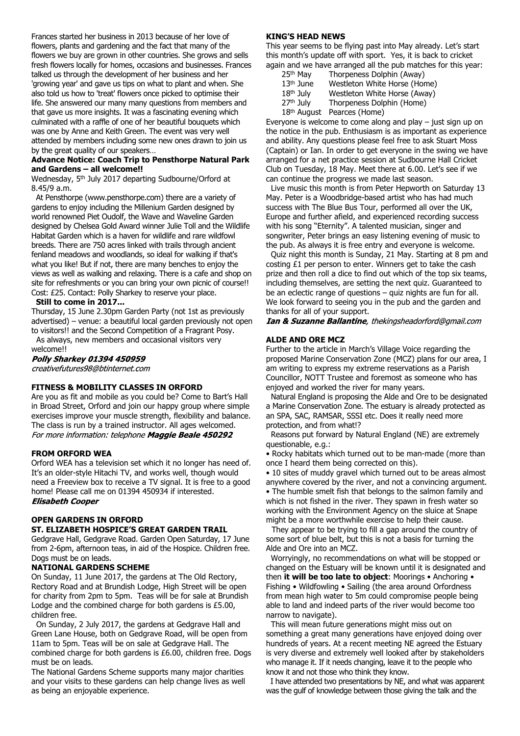Frances started her business in 2013 because of her love of flowers, plants and gardening and the fact that many of the flowers we buy are grown in other countries. She grows and sells fresh flowers locally for homes, occasions and businesses. Frances talked us through the development of her business and her 'growing year' and gave us tips on what to plant and when. She also told us how to 'treat' flowers once picked to optimise their life. She answered our many many questions from members and that gave us more insights. It was a fascinating evening which culminated with a raffle of one of her beautiful bouquets which was one by Anne and Keith Green. The event was very well attended by members including some new ones drawn to join us by the great quality of our speakers…

# **Advance Notice: Coach Trip to Pensthorpe Natural Park and Gardens – all welcome!!**

Wednesday, 5th July 2017 departing Sudbourne/Orford at 8.45/9 a.m.

 At Pensthorpe (www.pensthorpe.com) there are a variety of gardens to enjoy including the Millenium Garden designed by world renowned Piet Oudolf, the Wave and Waveline Garden designed by Chelsea Gold Award winner Julie Toll and the Wildlife Habitat Garden which is a haven for wildlife and rare wildfowl breeds. There are 750 acres linked with trails through ancient fenland meadows and woodlands, so ideal for walking if that's what you like! But if not, there are many benches to enjoy the views as well as walking and relaxing. There is a cafe and shop on site for refreshments or you can bring your own picnic of course!! Cost: £25. Contact: Polly Sharkey to reserve your place.

#### **Still to come in 2017...**

Thursday, 15 June 2.30pm Garden Party (not 1st as previously advertised) – venue: a beautiful local garden previously not open to visitors!! and the Second Competition of a Fragrant Posy.

As always, new members and occasional visitors very

welcome!!<br>**Polly Sharkey 01394 450959** creativefutures98@btinternet.com

# **FITNESS & MOBILITY CLASSES IN ORFORD**

Are you as fit and mobile as you could be? Come to Bart's Hall in Broad Street, Orford and join our happy group where simple exercises improve your muscle strength, flexibility and balance. The class is run by a trained instructor. All ages welcomed. For more information: telephone Maggie Beale 450292

# **FROM ORFORD WEA**

Orford WEA has a television set which it no longer has need of. It's an older-style Hitachi TV, and works well, though would need a Freeview box to receive a TV signal. It is free to a good home! Please call me on 01394 450934 if interested.<br>**Elisabeth Cooper** 

# **OPEN GARDENS IN ORFORD ST. ELIZABETH HOSPICE'S GREAT GARDEN TRAIL**

Gedgrave Hall, Gedgrave Road. Garden Open Saturday, 17 June from 2-6pm, afternoon teas, in aid of the Hospice. Children free. Dogs must be on leads.

# **NATIONAL GARDENS SCHEME**

On Sunday, 11 June 2017, the gardens at The Old Rectory, Rectory Road and at Brundish Lodge, High Street will be open for charity from 2pm to 5pm. Teas will be for sale at Brundish Lodge and the combined charge for both gardens is £5.00, children free.

 On Sunday, 2 July 2017, the gardens at Gedgrave Hall and Green Lane House, both on Gedgrave Road, will be open from 11am to 5pm. Teas will be on sale at Gedgrave Hall. The combined charge for both gardens is £6.00, children free. Dogs must be on leads.

The National Gardens Scheme supports many major charities and your visits to these gardens can help change lives as well as being an enjoyable experience.

#### **KING'S HEAD NEWS**

This year seems to be flying past into May already. Let's start this month's update off with sport. Yes, it is back to cricket again and we have arranged all the pub matches for this year:<br> $2.5<sup>th</sup>$  Mav Thorpeness Dolphin (Away)

- Thorpeness Dolphin (Away) 13<sup>th</sup> June Westleton White Horse (Home)<br>18<sup>th</sup> July Westleton White Horse (Away) Westleton White Horse (Away)
- 27<sup>th</sup> July Thorpeness Dolphin (Home)
- 18<sup>th</sup> August Pearces (Home)

Evervone is welcome to come along and play  $-$  just sign up on the notice in the pub. Enthusiasm is as important as experience and ability. Any questions please feel free to ask Stuart Moss (Captain) or Ian. In order to get everyone in the swing we have arranged for a net practice session at Sudbourne Hall Cricket Club on Tuesday, 18 May. Meet there at 6.00. Let's see if we can continue the progress we made last season.

 Live music this month is from Peter Hepworth on Saturday 13 May. Peter is a Woodbridge-based artist who has had much success with The Blue Bus Tour, performed all over the UK, Europe and further afield, and experienced recording success with his song "Eternity". A talented musician, singer and songwriter, Peter brings an easy listening evening of music to the pub. As always it is free entry and everyone is welcome.

 Quiz night this month is Sunday, 21 May. Starting at 8 pm and costing £1 per person to enter. Winners get to take the cash prize and then roll a dice to find out which of the top six teams, including themselves, are setting the next quiz. Guaranteed to be an eclectic range of questions – quiz nights are fun for all. We look forward to seeing you in the pub and the garden and thanks for all of your support.

**Ian & Suzanne Ballantine**, thekingsheadorford@gmail.com

# **ALDE AND ORE MCZ**

Further to the article in March's Village Voice regarding the proposed Marine Conservation Zone (MCZ) plans for our area, I am writing to express my extreme reservations as a Parish Councillor, NOTT Trustee and foremost as someone who has enjoyed and worked the river for many years.

 Natural England is proposing the Alde and Ore to be designated a Marine Conservation Zone. The estuary is already protected as an SPA, SAC, RAMSAR, SSSI etc. Does it really need more protection, and from what!?

 Reasons put forward by Natural England (NE) are extremely questionable, e.g.:

• Rocky habitats which turned out to be man-made (more than once I heard them being corrected on this).

• 10 sites of muddy gravel which turned out to be areas almost anywhere covered by the river, and not a convincing argument. • The humble smelt fish that belongs to the salmon family and which is not fished in the river. They spawn in fresh water so working with the Environment Agency on the sluice at Snape might be a more worthwhile exercise to help their cause.

They appear to be trying to fill a gap around the country of some sort of blue belt, but this is not a basis for turning the Alde and Ore into an MCZ.

 Worryingly, no recommendations on what will be stopped or changed on the Estuary will be known until it is designated and then **it will be too late to object**: Moorings • Anchoring • Fishing • Wildfowling • Sailing (the area around Orfordness from mean high water to 5m could compromise people being able to land and indeed parts of the river would become too narrow to navigate).

 This will mean future generations might miss out on something a great many generations have enjoyed doing over hundreds of years. At a recent meeting NE agreed the Estuary is very diverse and extremely well looked after by stakeholders who manage it. If it needs changing, leave it to the people who know it and not those who think they know.

 I have attended two presentations by NE, and what was apparent was the gulf of knowledge between those giving the talk and the